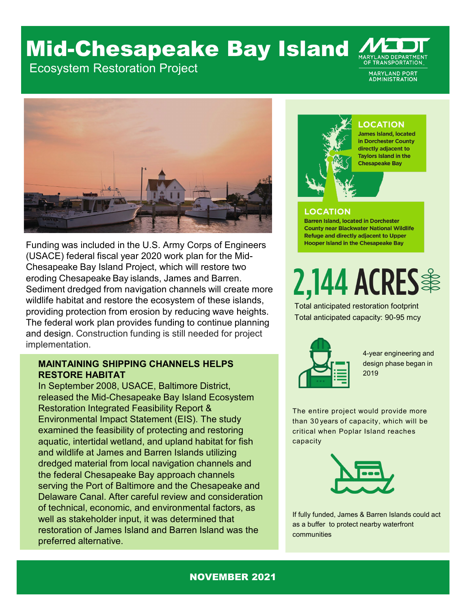## Mid-Chesapeake Bay Island

Ecosystem Restoration Project

**MARYLAND PORT ADMINISTRATION** 



Funding was included in the U.S. Army Corps of Engineers (USACE) federal fiscal year 2020 work plan for the Mid-Chesapeake Bay Island Project, which will restore two eroding Chesapeake Bay islands, James and Barren. Sediment dredged from navigation channels will create more wildlife habitat and restore the ecosystem of these islands, providing protection from erosion by reducing wave heights. The federal work plan provides funding to continue planning and design. Construction funding is still needed for project implementation.

#### **MAINTAINING SHIPPING CHANNELS HELPS RESTORE HABITAT**

In September 2008, USACE, Baltimore District, released the Mid-Chesapeake Bay Island Ecosystem Restoration Integrated Feasibility Report & Environmental Impact Statement (EIS). The study examined the feasibility of protecting and restoring aquatic, intertidal wetland, and upland habitat for fish and wildlife at James and Barren Islands utilizing dredged material from local navigation channels and the federal Chesapeake Bay approach channels serving the Port of Baltimore and the Chesapeake and Delaware Canal. After careful review and consideration of technical, economic, and environmental factors, as well as stakeholder input, it was determined that restoration of James Island and Barren Island was the preferred alternative.



### **LOCATION**

**James Island, located** in Dorchester County directly adjacent to **Taylors Island in the Chesapeake Bay** 

#### **OCATION**

**Barren Island, located in Dorchester County near Blackwater National Wildlife Refuge and directly adjacent to Upper Hooper Island in the Chesapeake Bay** 

2,144 ACRES  $\approx$ 

Total anticipated restoration footprint Total anticipated capacity: 90-95 mcy



4-year engineering and design phase began in 2019

The entire project would provide more than 30 years of capacity, which will be critical when Poplar Island reaches capacity



If fully funded, James & Barren Islands could act as a buffer to protect nearby waterfront communities